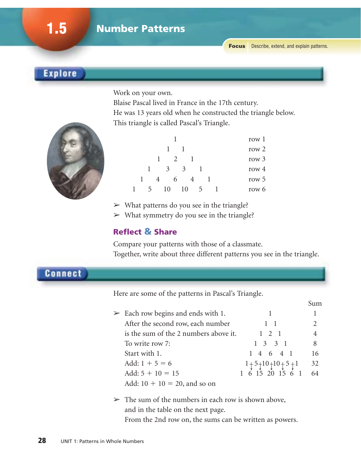Sum

### **Explore**

Work on your own.

Blaise Pascal lived in France in the 17th century. He was 13 years old when he constructed the triangle below. This triangle is called Pascal's Triangle.



| row 1   |  |               |                |    |               |     |               |  |
|---------|--|---------------|----------------|----|---------------|-----|---------------|--|
| row 2   |  |               |                |    |               |     |               |  |
| row $3$ |  |               | $\overline{1}$ |    | $\mathcal{L}$ |     |               |  |
| row $4$ |  |               |                | 3  |               | 3   |               |  |
| row $5$ |  |               |                |    | 6             |     |               |  |
| row 6   |  | $\mathcal{D}$ |                | 10 |               | 1() | $\mathcal{L}$ |  |
|         |  |               |                |    |               |     |               |  |

- $\triangleright$  What patterns do you see in the triangle?
- $>$  What symmetry do you see in the triangle?

#### **Reflect & Share**

Compare your patterns with those of a classmate. Together, write about three different patterns you see in the triangle.

**Connect** 

Here are some of the patterns in Pascal's Triangle.

| $\geq$ Each row begins and ends with 1. |                           |    |
|-----------------------------------------|---------------------------|----|
| After the second row, each number       | $1 \quad 1$               |    |
| is the sum of the 2 numbers above it.   | $1 \t2 \t1$               |    |
| To write row 7:                         | $1 \t3 \t3 \t1$           | 8  |
| Start with 1.                           | 1 4 6 4 1                 | 16 |
| Add: $1 + 5 = 6$                        | $1 + 5 + 10 + 10 + 5 + 1$ | 32 |
| Add: $5 + 10 = 15$                      | 1 6 15 20 15 6 1          | 64 |
| Add: $10 + 10 = 20$ , and so on         |                           |    |

 $\geq$  The sum of the numbers in each row is shown above, and in the table on the next page.

From the 2nd row on, the sums can be written as powers.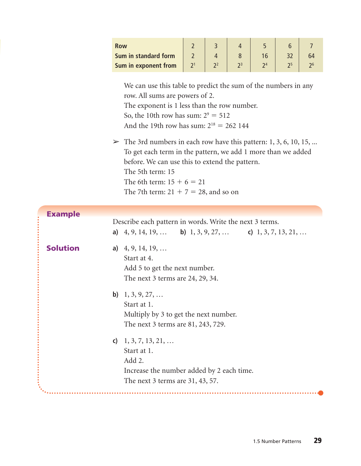| <b>Row</b>                  |  |  |  |
|-----------------------------|--|--|--|
| <b>Sum in standard form</b> |  |  |  |
| Sum in exponent from        |  |  |  |

We can use this table to predict the sum of the numbers in any row. All sums are powers of 2. The exponent is 1 less than the row number. So, the 10th row has sum:  $2^9 = 512$ 

- And the 19th row has sum:  $2^{18} = 262$  144
- $\triangleright$  The 3rd numbers in each row have this pattern: 1, 3, 6, 10, 15, ... To get each term in the pattern, we add 1 more than we added before. We can use this to extend the pattern. The 5th term: 15 The 6th term:  $15 + 6 = 21$ The 7th term:  $21 + 7 = 28$ , and so on

| <b>Example</b>  |                                                                                                                                            |
|-----------------|--------------------------------------------------------------------------------------------------------------------------------------------|
|                 | Describe each pattern in words. Write the next 3 terms.<br>a) $4, 9, 14, 19, \ldots$ b) $1, 3, 9, 27, \ldots$ c) $1, 3, 7, 13, 21, \ldots$ |
| <b>Solution</b> | a) $4, 9, 14, 19, \ldots$<br>Start at 4.<br>Add 5 to get the next number.<br>The next 3 terms are 24, 29, 34.                              |
|                 | <b>b</b> ) $1, 3, 9, 27, \ldots$<br>Start at 1.<br>Multiply by 3 to get the next number.<br>The next 3 terms are 81, 243, 729.             |
|                 | c) $1, 3, 7, 13, 21, \ldots$<br>Start at 1.<br>Add 2.<br>Increase the number added by 2 each time.<br>The next 3 terms are 31, 43, 57.     |
|                 |                                                                                                                                            |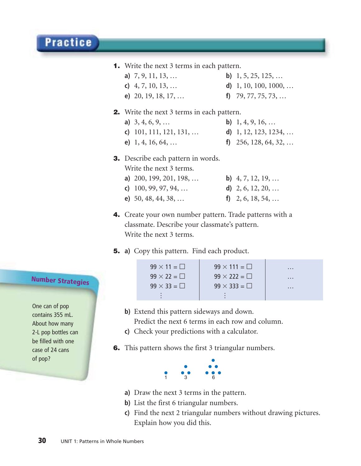#### **1.** Write the next 3 terms in each pattern.

- **a)** 7, 9, 11, 13, … **b)** 1, 5, 25, 125, …
	-
	-
- **c)** 4, 7, 10, 13, … **d)** 1, 10, 100, 1000, …
- **e)** 20, 19, 18, 17, … **f)** 79, 77, 75, 73, …

#### **2.** Write the next 3 terms in each pattern.

**a)** 3, 4, 6, 9, … **b)** 1, 4, 9, 16, … **c)** 101, 111, 121, 131, … **d)** 1, 12, 123, 1234, … **e)** 1, 4, 16, 64, … **f)** 256, 128, 64, 32, …

#### **3.** Describe each pattern in words.

Write the next 3 terms.

| a) $200, 199, 201, 198, \ldots$ | <b>b</b> ) $4, 7, 12, 19, \ldots$ |
|---------------------------------|-----------------------------------|
| c) $100, 99, 97, 94, \ldots$    | d) $2, 6, 12, 20, \ldots$         |
| e) $50, 48, 44, 38, \ldots$     | f) $2, 6, 18, 54, \ldots$         |

**4.** Create your own number pattern. Trade patterns with a classmate. Describe your classmate's pattern. Write the next 3 terms.

#### **5. a)** Copy this pattern. Find each product.



- **b)** Extend this pattern sideways and down. Predict the next 6 terms in each row and column.
- **c)** Check your predictions with a calculator.
- **6.** This pattern shows the first 3 triangular numbers.



- **a)** Draw the next 3 terms in the pattern.
- **b)** List the first 6 triangular numbers.
- **c)** Find the next 2 triangular numbers without drawing pictures. Explain how you did this.

## **Number Strategies**

One can of pop contains 355 mL. About how many 2-L pop bottles can be filled with one case of 24 cans of pop?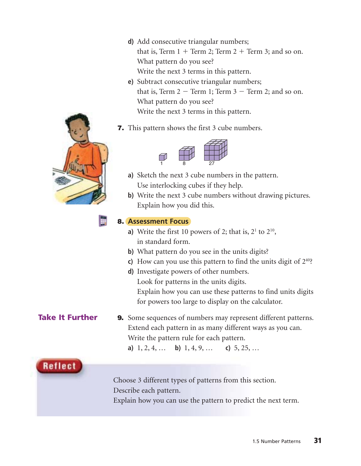**d)** Add consecutive triangular numbers;

that is, Term  $1 +$  Term  $2$ ; Term  $2 +$  Term 3; and so on. What pattern do you see? Write the next 3 terms in this pattern.

- **e)** Subtract consecutive triangular numbers; that is, Term  $2 -$  Term 1; Term  $3 -$  Term 2; and so on. What pattern do you see? Write the next 3 terms in this pattern.
- **7.** This pattern shows the first 3 cube numbers.



- **a)** Sketch the next 3 cube numbers in the pattern. Use interlocking cubes if they help.
- **b)** Write the next 3 cube numbers without drawing pictures. Explain how you did this.

#### **8. Assessment Focus**

- **a**) Write the first 10 powers of 2; that is,  $2^1$  to  $2^{10}$ , in standard form.
- **b)** What pattern do you see in the units digits?
- **c)** How can you use this pattern to find the units digit of  $2^{40}$ ?
- **d)** Investigate powers of other numbers. Look for patterns in the units digits. Explain how you can use these patterns to find units digits for powers too large to display on the calculator.

#### **9.** Some sequences of numbers may represent different patterns. Extend each pattern in as many different ways as you can. Write the pattern rule for each pattern. **Take It Further**

**a)** 1, 2, 4, … **b)** 1, 4, 9, … **c)** 5, 25, …

Reflect

Choose 3 different types of patterns from this section. Describe each pattern. Explain how you can use the pattern to predict the next term.